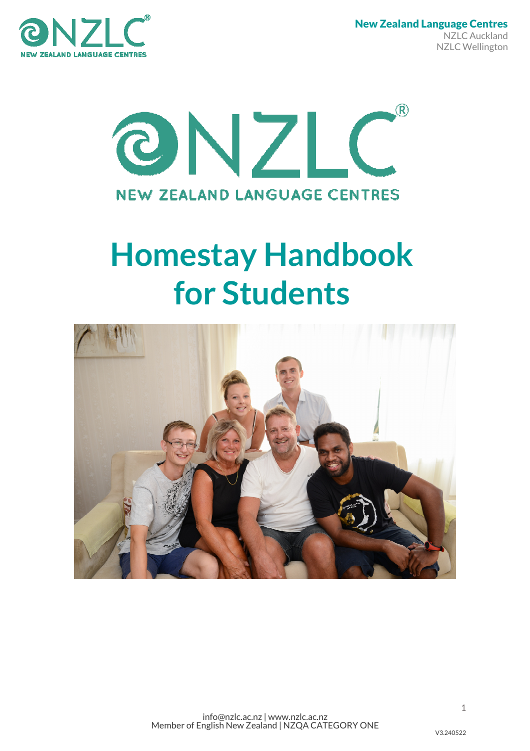

 New Zealand Language Centres NZLC Auckland NZLC Wellington



# Homestay Handbook for Students

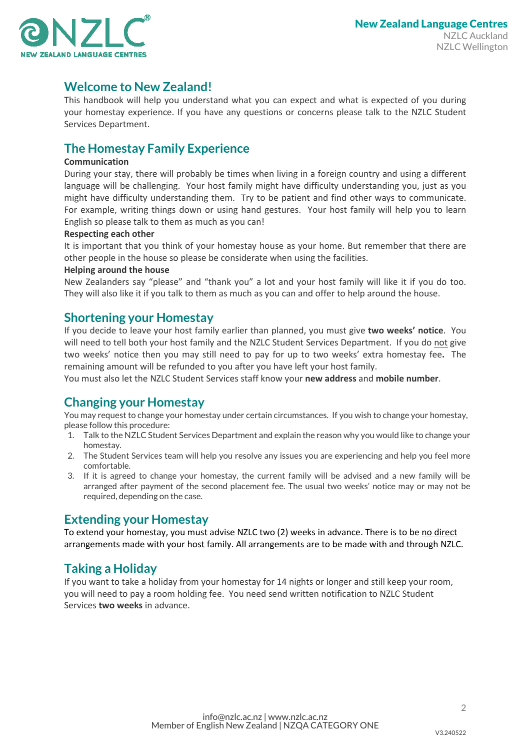

## Welcome to New Zealand!

This handbook will help you understand what you can expect and what is expected of you during your homestay experience. If you have any questions or concerns please talk to the NZLC Student Services Department.

# The Homestay Family Experience

### **Communication**

During your stay, there will probably be times when living in a foreign country and using a different language will be challenging. Your host family might have difficulty understanding you, just as you might have difficulty understanding them. Try to be patient and find other ways to communicate. For example, writing things down or using hand gestures. Your host family will help you to learn English so please talk to them as much as you can!

#### Respecting each other

It is important that you think of your homestay house as your home. But remember that there are other people in the house so please be considerate when using the facilities.

#### Helping around the house

New Zealanders say "please" and "thank you" a lot and your host family will like it if you do too. They will also like it if you talk to them as much as you can and offer to help around the house.

## Shortening your Homestay

If you decide to leave your host family earlier than planned, you must give two weeks' notice. You will need to tell both your host family and the NZLC Student Services Department. If you do not give two weeks' notice then you may still need to pay for up to two weeks' extra homestay fee. The remaining amount will be refunded to you after you have left your host family.

You must also let the NZLC Student Services staff know your new address and mobile number.

## Changing your Homestay

You may request to change your homestay under certain circumstances. If you wish to change your homestay, please follow this procedure:

- 1. Talk to the NZLC Student Services Department and explain the reason why you would like to change your homestay.
- 2. The Student Services team will help you resolve any issues you are experiencing and help you feel more comfortable.
- 3. If it is agreed to change your homestay, the current family will be advised and a new family will be arranged after payment of the second placement fee. The usual two weeks' notice may or may not be required, depending on the case.

## Extending your Homestay

To extend your homestay, you must advise NZLC two (2) weeks in advance. There is to be no direct arrangements made with your host family. All arrangements are to be made with and through NZLC.

## Taking a Holiday

If you want to take a holiday from your homestay for 14 nights or longer and still keep your room, you will need to pay a room holding fee. You need send written notification to NZLC Student Services two weeks in advance.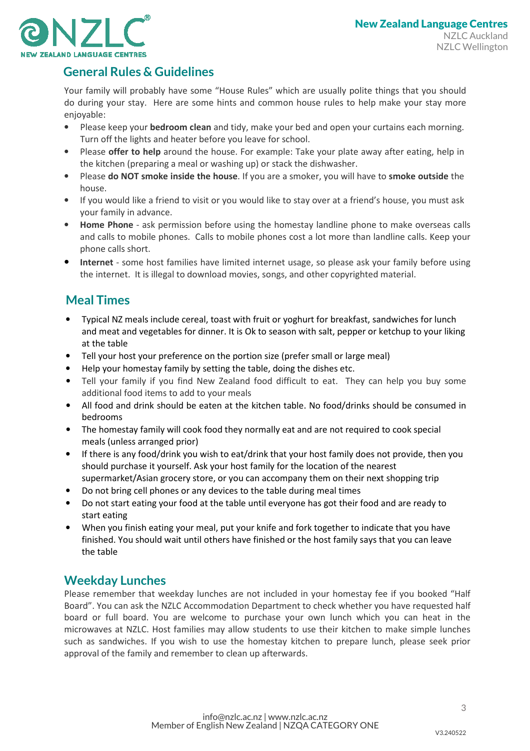

# General Rules & Guidelines

Your family will probably have some "House Rules" which are usually polite things that you should do during your stay. Here are some hints and common house rules to help make your stay more enjoyable:

- Please keep your bedroom clean and tidy, make your bed and open your curtains each morning. Turn off the lights and heater before you leave for school.
- Please offer to help around the house. For example: Take your plate away after eating, help in the kitchen (preparing a meal or washing up) or stack the dishwasher.
- Please do NOT smoke inside the house. If you are a smoker, you will have to smoke outside the house.
- If you would like a friend to visit or you would like to stay over at a friend's house, you must ask your family in advance.
- Home Phone ask permission before using the homestay landline phone to make overseas calls and calls to mobile phones. Calls to mobile phones cost a lot more than landline calls. Keep your phone calls short.
- Internet some host families have limited internet usage, so please ask your family before using the internet. It is illegal to download movies, songs, and other copyrighted material.

# Meal Times

- Typical NZ meals include cereal, toast with fruit or yoghurt for breakfast, sandwiches for lunch and meat and vegetables for dinner. It is Ok to season with salt, pepper or ketchup to your liking at the table
- Tell your host your preference on the portion size (prefer small or large meal)
- Help your homestay family by setting the table, doing the dishes etc.
- Tell your family if you find New Zealand food difficult to eat. They can help you buy some additional food items to add to your meals
- All food and drink should be eaten at the kitchen table. No food/drinks should be consumed in bedrooms
- The homestay family will cook food they normally eat and are not required to cook special meals (unless arranged prior)
- If there is any food/drink you wish to eat/drink that your host family does not provide, then you should purchase it yourself. Ask your host family for the location of the nearest supermarket/Asian grocery store, or you can accompany them on their next shopping trip
- Do not bring cell phones or any devices to the table during meal times
- Do not start eating your food at the table until everyone has got their food and are ready to start eating
- When you finish eating your meal, put your knife and fork together to indicate that you have finished. You should wait until others have finished or the host family says that you can leave the table

## Weekday Lunches

Please remember that weekday lunches are not included in your homestay fee if you booked "Half Board". You can ask the NZLC Accommodation Department to check whether you have requested half board or full board. You are welcome to purchase your own lunch which you can heat in the microwaves at NZLC. Host families may allow students to use their kitchen to make simple lunches such as sandwiches. If you wish to use the homestay kitchen to prepare lunch, please seek prior approval of the family and remember to clean up afterwards.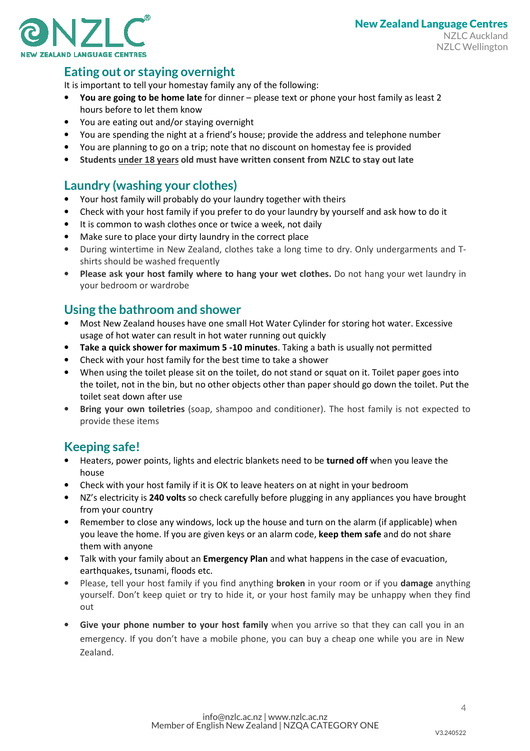

# Eating out or staying overnight

It is important to tell your homestay family any of the following:

- You are going to be home late for dinner please text or phone your host family as least 2 hours before to let them know
- You are eating out and/or staying overnight
- You are spending the night at a friend's house; provide the address and telephone number
- You are planning to go on a trip; note that no discount on homestay fee is provided
- Students under 18 years old must have written consent from NZLC to stay out late

## Laundry (washing your clothes)

- Your host family will probably do your laundry together with theirs
- Check with your host family if you prefer to do your laundry by yourself and ask how to do it
- It is common to wash clothes once or twice a week, not daily
- Make sure to place your dirty laundry in the correct place
- During wintertime in New Zealand, clothes take a long time to dry. Only undergarments and Tshirts should be washed frequently
- Please ask your host family where to hang your wet clothes. Do not hang your wet laundry in your bedroom or wardrobe

## Using the bathroom and shower

- Most New Zealand houses have one small Hot Water Cylinder for storing hot water. Excessive usage of hot water can result in hot water running out quickly
- Take a quick shower for maximum 5 -10 minutes. Taking a bath is usually not permitted
- Check with your host family for the best time to take a shower
- When using the toilet please sit on the toilet, do not stand or squat on it. Toilet paper goes into the toilet, not in the bin, but no other objects other than paper should go down the toilet. Put the toilet seat down after use
- Bring your own toiletries (soap, shampoo and conditioner). The host family is not expected to provide these items

# Keeping safe!

- Heaters, power points, lights and electric blankets need to be turned off when you leave the house
- Check with your host family if it is OK to leave heaters on at night in your bedroom
- NZ's electricity is 240 volts so check carefully before plugging in any appliances you have brought from your country
- Remember to close any windows, lock up the house and turn on the alarm (if applicable) when you leave the home. If you are given keys or an alarm code, keep them safe and do not share them with anyone
- Talk with your family about an **Emergency Plan** and what happens in the case of evacuation, earthquakes, tsunami, floods etc.
- Please, tell your host family if you find anything **broken** in your room or if you **damage** anything yourself. Don't keep quiet or try to hide it, or your host family may be unhappy when they find out
- Give your phone number to your host family when you arrive so that they can call you in an emergency. If you don't have a mobile phone, you can buy a cheap one while you are in New Zealand.